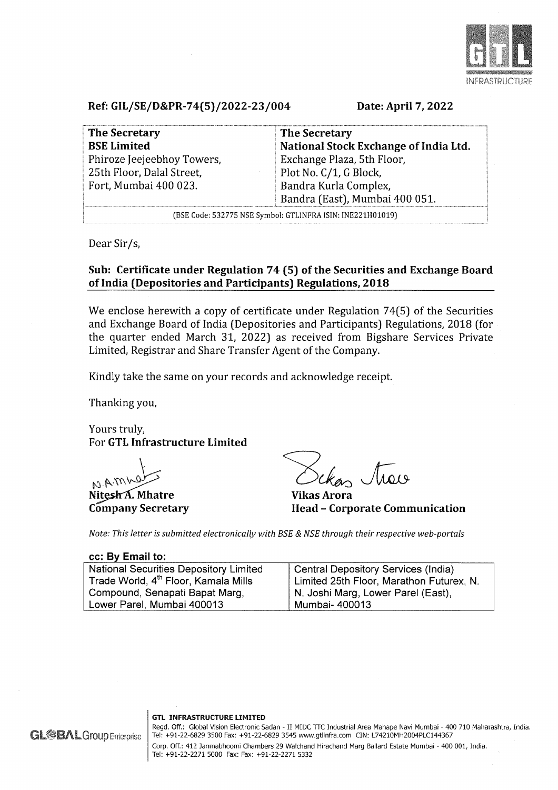

Ref: GIL/SE/D&PR-74(5)/2022-23/004

Date: April 7, 2022

| <b>The Secretary</b>                                       | <b>The Secretary</b>                  |
|------------------------------------------------------------|---------------------------------------|
| <b>BSE Limited</b>                                         | National Stock Exchange of India Ltd. |
| Phiroze Jeejeebhoy Towers,                                 | Exchange Plaza, 5th Floor,            |
| 25th Floor, Dalal Street,                                  | Plot No. C/1, G Block,                |
| Fort, Mumbai 400 023.                                      | Bandra Kurla Complex,                 |
|                                                            | Bandra (East), Mumbai 400 051.        |
| (BSE Code: 532775 NSE Symbol: GTLINFRA ISIN: INE221H01019) |                                       |

Dear Sir/s,

# Sub: Certificate under Regulation 74 (5) of the Securities and Exchange Board of India (Depositories and Participants) Regulations, 2018

We enclose herewith a copy of certificate under Regulation 74(5) of the Securities and Exchange Board of India (Depositories and Participants) Regulations, 2018 (for the quarter ended March 31, 2022) as received from Bigshare Services Private Limited, Registrar and Share Transfer Agent of the Company.

Kindly take the same on your records and acknowledge receipt.

Thanking you,

Yours truly, For GTL Infrastructure Limited

 $10.100$ 

Nitesh A. Mhatre Company Secretary

 $\sqrt{4019}$ 

Vikas Arora Head - Corporate Communication

Note: This letter is submitted electronically with BSE & NSE through their respective web-portals

## cc: By Email to:

**GL<sup>2</sup>BAL**Group Enterprise

| National Securities Depository Limited           | Central Depository Services (India)      |
|--------------------------------------------------|------------------------------------------|
| Trade World, 4 <sup>th</sup> Floor, Kamala Mills | Limited 25th Floor, Marathon Futurex, N. |
| Compound, Senapati Bapat Marg,                   | N. Joshi Marg, Lower Parel (East),       |
| Lower Parel, Mumbai 400013                       | ' Mumbai- 400013                         |

#### GTL INFRASTRUCTURE LIMITED

Regd. Off.: Global Vision Electronic Sadan - II MIDC TTC Industrial Area Mahape Navi Mumbai - 400 710 Maharashtra, India. Tel: +91-22-6829 3500 Fax: +91-22-6829 3545 www.gtlinfra.com CIN: L74210MH2004PLC144367 Corp. Off.: 412 Janmabhoomi Chambers 29 Walchand Hirachand Marg Ballard Estate Mumbai - 400 001, India. Tel: +91-22-2271 5000 Fax: Fax: +91-22-2271 5332